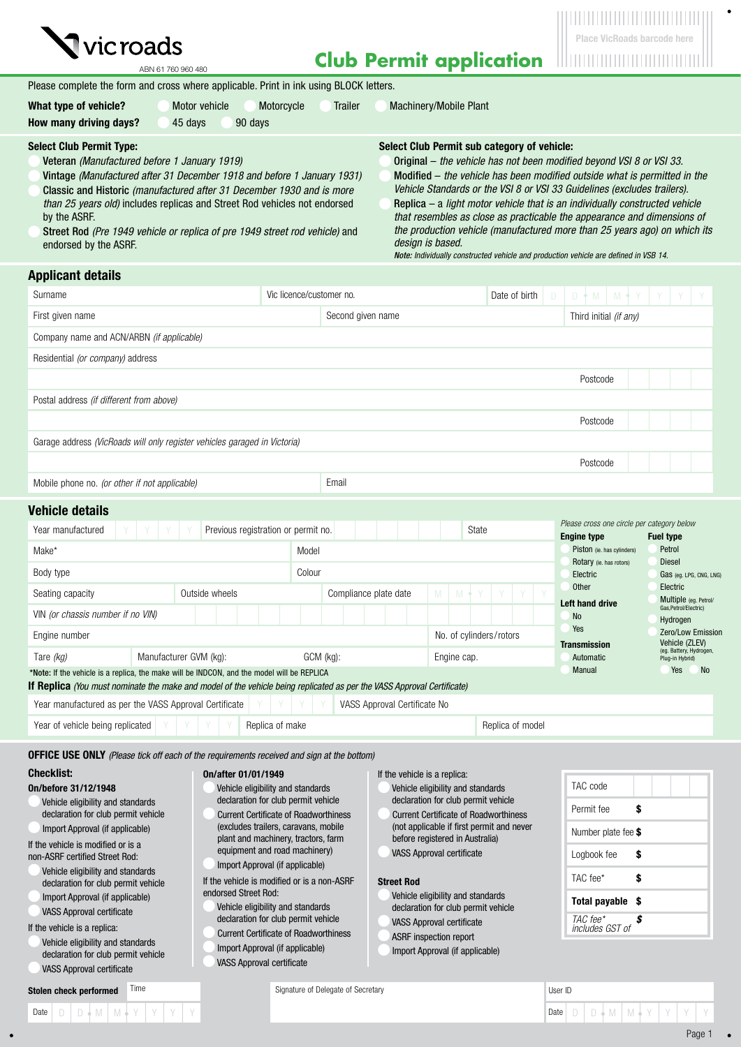

**Club Permit application**

ABN 61 760 960 480

| Please complete the form and cross where applicable. Print in ink using BLOCK letters. |               |            |                |                               |
|----------------------------------------------------------------------------------------|---------------|------------|----------------|-------------------------------|
| What type of vehicle?                                                                  | Motor vehicle | Motorcycle | <b>Trailer</b> | <b>Machinery/Mobile Plant</b> |

| How many driving days?<br>90 davs<br>45 davs                            |                                                         |
|-------------------------------------------------------------------------|---------------------------------------------------------|
| <b>Select Club Permit Type:</b>                                         | Select Club Permit sub category of vehicle:             |
| Veteran (Manufactured before 1 January 1919)                            | Original – the vehicle has not been modified beyond VS  |
| Vintage (Manufactured after 31 December 1918 and before 1 January 1931) | Modified $-$ the vehicle has hean modified outside what |

Vintage *(Manufactured after 31 December 1918 and before 1 January 1931)* Classic and Historic *(manufactured after 31 December 1930 and is more than 25 years old)* includes replicas and Street Rod vehicles not endorsed by the ASRF.

Street Rod *(Pre 1949 vehicle or replica of pre 1949 street rod vehicle)* and endorsed by the ASRF.

Original – *the vehicle has not been modified beyond VSI 8 or VSI 33.* is permitted in the *Vehicle Standards or the VSI 8 or VSI 33 Guidelines (excludes trailers).*

Replica – a *light motor vehicle that is an individually constructed vehicle that resembles as close as practicable the appearance and dimensions of the production vehicle (manufactured more than 25 years ago) on which its design is based.* 

*Note: Individually constructed vehicle and production vehicle are defined in VSB 14.*

| <b>Applicant details</b>                                                                                                                                                                  |                                                                                                                                             |                                                                                                               |                                                           |                                           |            |                                              |                  |                                   |                                     |                                                  |                 |                                           |                                                |  |  |  |  |  |
|-------------------------------------------------------------------------------------------------------------------------------------------------------------------------------------------|---------------------------------------------------------------------------------------------------------------------------------------------|---------------------------------------------------------------------------------------------------------------|-----------------------------------------------------------|-------------------------------------------|------------|----------------------------------------------|------------------|-----------------------------------|-------------------------------------|--------------------------------------------------|-----------------|-------------------------------------------|------------------------------------------------|--|--|--|--|--|
| Surname                                                                                                                                                                                   |                                                                                                                                             |                                                                                                               | Vic licence/customer no.                                  |                                           |            |                                              | Date of birth    | Ð                                 |                                     | $D +$<br>M<br>M                                  |                 |                                           |                                                |  |  |  |  |  |
| First given name                                                                                                                                                                          |                                                                                                                                             |                                                                                                               | Second given name                                         |                                           |            |                                              |                  |                                   | Third initial (if any)              |                                                  |                 |                                           |                                                |  |  |  |  |  |
| Company name and ACN/ARBN <i>(if applicable)</i>                                                                                                                                          |                                                                                                                                             |                                                                                                               |                                                           |                                           |            |                                              |                  |                                   |                                     |                                                  |                 |                                           |                                                |  |  |  |  |  |
| Residential (or company) address                                                                                                                                                          |                                                                                                                                             |                                                                                                               |                                                           |                                           |            |                                              |                  |                                   |                                     |                                                  |                 |                                           |                                                |  |  |  |  |  |
|                                                                                                                                                                                           |                                                                                                                                             |                                                                                                               |                                                           |                                           |            |                                              |                  |                                   |                                     | Postcode                                         |                 |                                           |                                                |  |  |  |  |  |
| Postal address <i>(if different from above)</i>                                                                                                                                           |                                                                                                                                             |                                                                                                               |                                                           |                                           |            |                                              |                  |                                   |                                     |                                                  |                 |                                           |                                                |  |  |  |  |  |
|                                                                                                                                                                                           |                                                                                                                                             |                                                                                                               |                                                           |                                           |            |                                              |                  |                                   |                                     | Postcode                                         |                 |                                           |                                                |  |  |  |  |  |
| Garage address (VicRoads will only register vehicles garaged in Victoria)                                                                                                                 |                                                                                                                                             |                                                                                                               |                                                           |                                           |            |                                              |                  |                                   |                                     |                                                  |                 |                                           |                                                |  |  |  |  |  |
|                                                                                                                                                                                           |                                                                                                                                             |                                                                                                               |                                                           |                                           |            |                                              |                  |                                   |                                     | Postcode                                         |                 |                                           |                                                |  |  |  |  |  |
| Mobile phone no. (or other if not applicable)                                                                                                                                             |                                                                                                                                             |                                                                                                               | Email                                                     |                                           |            |                                              |                  |                                   |                                     |                                                  |                 |                                           |                                                |  |  |  |  |  |
| <b>Vehicle details</b>                                                                                                                                                                    |                                                                                                                                             |                                                                                                               |                                                           |                                           |            |                                              |                  |                                   |                                     |                                                  |                 |                                           |                                                |  |  |  |  |  |
| Year manufactured                                                                                                                                                                         | Previous registration or permit no.                                                                                                         |                                                                                                               |                                                           |                                           |            | State                                        |                  |                                   |                                     | Please cross one circle per category below       |                 |                                           |                                                |  |  |  |  |  |
| Make*                                                                                                                                                                                     |                                                                                                                                             | Model                                                                                                         |                                                           |                                           |            |                                              |                  |                                   |                                     | <b>Engine type</b><br>Piston (ie. has cylinders) |                 | <b>Fuel type</b><br>Petrol                |                                                |  |  |  |  |  |
| Body type                                                                                                                                                                                 |                                                                                                                                             | Colour                                                                                                        |                                                           |                                           |            |                                              |                  |                                   |                                     | Rotary (ie. has rotors)<br>Electric              |                 | <b>Diesel</b>                             | Gas (eg. LPG, CNG, LNG)                        |  |  |  |  |  |
| Seating capacity                                                                                                                                                                          | Outside wheels                                                                                                                              |                                                                                                               |                                                           | Compliance plate date                     | M          | M                                            |                  |                                   |                                     | <b>Other</b>                                     |                 | Electric                                  |                                                |  |  |  |  |  |
| VIN (or chassis number if no VIN)                                                                                                                                                         |                                                                                                                                             |                                                                                                               |                                                           |                                           |            |                                              |                  |                                   | <b>Left hand drive</b><br><b>No</b> |                                                  |                 |                                           | Multiple (eg. Petrol/<br>Gas, Petrol/Electric) |  |  |  |  |  |
| Engine number                                                                                                                                                                             |                                                                                                                                             |                                                                                                               |                                                           |                                           |            | No. of cylinders/rotors                      |                  |                                   |                                     | Yes                                              |                 | Hydrogen                                  | Zero/Low Emission                              |  |  |  |  |  |
| Manufacturer GVM (kg):<br>GCM (kg):<br>Engine cap.<br>Tare (kg)                                                                                                                           |                                                                                                                                             |                                                                                                               |                                                           |                                           |            |                                              |                  |                                   | <b>Transmission</b><br>Automatic    |                                                  | Plug-in Hybrid) | Vehicle (ZLEV)<br>(eg. Battery, Hydrogen, |                                                |  |  |  |  |  |
| *Note: If the vehicle is a replica, the make will be INDCON, and the model will be REPLICA                                                                                                |                                                                                                                                             |                                                                                                               |                                                           |                                           |            |                                              |                  |                                   |                                     | Manual                                           |                 | Yes                                       | No.                                            |  |  |  |  |  |
| If Replica (You must nominate the make and model of the vehicle being replicated as per the VASS Approval Certificate)<br>Year manufactured as per the VASS Approval Certificate          |                                                                                                                                             |                                                                                                               |                                                           | VASS Approval Certificate No              |            |                                              |                  |                                   |                                     |                                                  |                 |                                           |                                                |  |  |  |  |  |
| Year of vehicle being replicated                                                                                                                                                          | Replica of make                                                                                                                             |                                                                                                               |                                                           |                                           |            |                                              | Replica of model |                                   |                                     |                                                  |                 |                                           |                                                |  |  |  |  |  |
|                                                                                                                                                                                           |                                                                                                                                             |                                                                                                               |                                                           |                                           |            |                                              |                  |                                   |                                     |                                                  |                 |                                           |                                                |  |  |  |  |  |
| <b>OFFICE USE ONLY</b> (Please tick off each of the requirements received and sign at the bottom)                                                                                         |                                                                                                                                             |                                                                                                               |                                                           |                                           |            |                                              |                  |                                   |                                     |                                                  |                 |                                           |                                                |  |  |  |  |  |
| <b>Checklist:</b><br>On/before 31/12/1948                                                                                                                                                 | 0n/after 01/01/1949                                                                                                                         |                                                                                                               |                                                           | If the vehicle is a replica:              |            |                                              |                  |                                   |                                     | TAC code                                         |                 |                                           |                                                |  |  |  |  |  |
| Vehicle eligibility and standards<br>Vehicle eligibility and standards<br>declaration for club permit vehicle<br>declaration for club permit vehicle<br>Vehicle eligibility and standards |                                                                                                                                             |                                                                                                               |                                                           |                                           | Permit fee |                                              |                  |                                   |                                     |                                                  |                 |                                           |                                                |  |  |  |  |  |
| declaration for club permit vehicle<br>Import Approval (if applicable)                                                                                                                    | <b>Current Certificate of Roadworthiness</b><br>(excludes trailers, caravans, mobile                                                        |                                                                                                               |                                                           | (not applicable if first permit and never |            | <b>Current Certificate of Roadworthiness</b> |                  |                                   |                                     |                                                  |                 |                                           |                                                |  |  |  |  |  |
| If the vehicle is modified or is a                                                                                                                                                        | before registered in Australia)<br>plant and machinery, tractors, farm<br>equipment and road machinery)<br><b>VASS Approval certificate</b> |                                                                                                               |                                                           |                                           |            | Number plate fee \$                          |                  |                                   |                                     |                                                  |                 |                                           |                                                |  |  |  |  |  |
| non-ASRF certified Street Rod:                                                                                                                                                            | Import Approval (if applicable)<br>Vehicle eligibility and standards                                                                        |                                                                                                               |                                                           |                                           |            |                                              | Logbook fee      | \$                                |                                     |                                                  |                 |                                           |                                                |  |  |  |  |  |
| If the vehicle is modified or is a non-ASRF<br><b>Street Rod</b><br>declaration for club permit vehicle<br>endorsed Street Rod:                                                           |                                                                                                                                             |                                                                                                               |                                                           |                                           |            | TAC fee*                                     | \$               |                                   |                                     |                                                  |                 |                                           |                                                |  |  |  |  |  |
| Import Approval (if applicable)<br><b>VASS Approval certificate</b>                                                                                                                       |                                                                                                                                             | Vehicle eligibility and standards<br>Vehicle eligibility and standards<br>declaration for club permit vehicle |                                                           |                                           |            |                                              |                  |                                   | Total payable \$                    |                                                  |                 |                                           |                                                |  |  |  |  |  |
| If the vehicle is a replica:                                                                                                                                                              | declaration for club permit vehicle<br>VASS Approval certificate<br><b>Current Certificate of Roadworthiness</b>                            |                                                                                                               |                                                           |                                           |            |                                              |                  | TAC fee*<br>\$<br>includes GST of |                                     |                                                  |                 |                                           |                                                |  |  |  |  |  |
| Vehicle eligibility and standards<br>declaration for club permit vehicle                                                                                                                  | Import Approval (if applicable)                                                                                                             |                                                                                                               | ASRF inspection report<br>Import Approval (if applicable) |                                           |            |                                              |                  |                                   |                                     |                                                  |                 |                                           |                                                |  |  |  |  |  |
| <b>VASS Approval certificate</b>                                                                                                                                                          | <b>VASS Approval certificate</b>                                                                                                            |                                                                                                               |                                                           |                                           |            |                                              |                  |                                   |                                     |                                                  |                 |                                           |                                                |  |  |  |  |  |
| Time<br>Stolen check performed                                                                                                                                                            |                                                                                                                                             |                                                                                                               | Signature of Delegate of Secretary                        |                                           |            |                                              |                  |                                   | User ID                             |                                                  |                 |                                           |                                                |  |  |  |  |  |
| $D \bullet M$<br>$M \phi$<br>Date<br>D                                                                                                                                                    |                                                                                                                                             |                                                                                                               |                                                           |                                           |            |                                              |                  |                                   | Date                                | $D + M$ $M + Y$<br>D                             |                 |                                           |                                                |  |  |  |  |  |